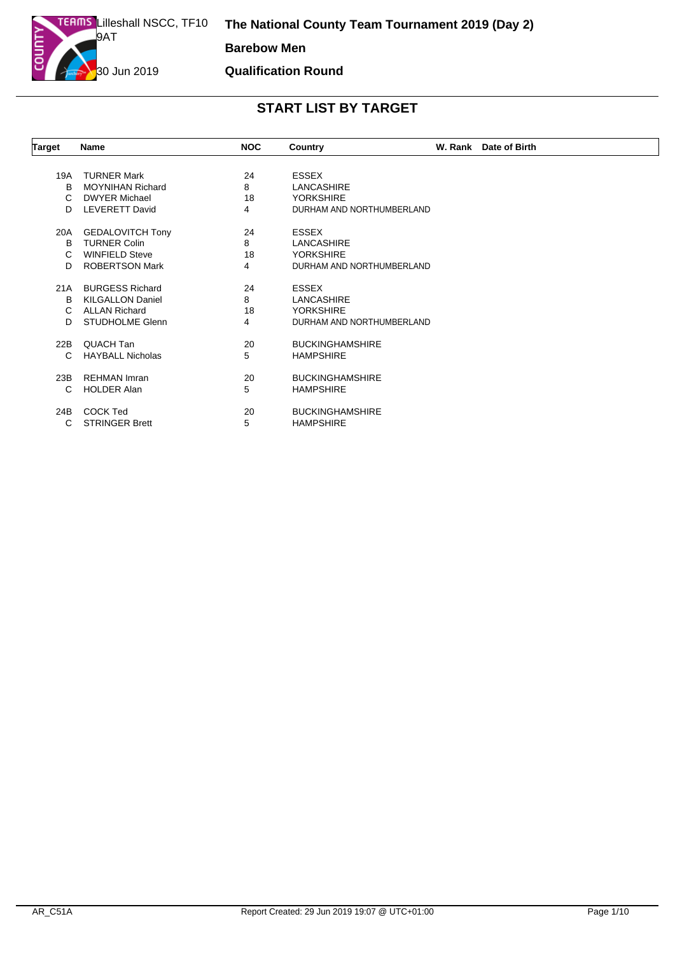**Qualification Round**

| <b>Target</b> | <b>Name</b>             | <b>NOC</b> | Country                   | W. Rank Date of Birth |
|---------------|-------------------------|------------|---------------------------|-----------------------|
|               |                         |            |                           |                       |
| 19A           | <b>TURNER Mark</b>      | 24         | <b>ESSEX</b>              |                       |
| B             | <b>MOYNIHAN Richard</b> | 8          | LANCASHIRE                |                       |
| C             | <b>DWYER Michael</b>    | 18         | <b>YORKSHIRE</b>          |                       |
| D             | <b>LEVERETT David</b>   | 4          | DURHAM AND NORTHUMBERLAND |                       |
| 20A           | <b>GEDALOVITCH Tony</b> | 24         | <b>ESSEX</b>              |                       |
| B             | <b>TURNER Colin</b>     | 8          | LANCASHIRE                |                       |
| C             | <b>WINFIELD Steve</b>   | 18         | <b>YORKSHIRE</b>          |                       |
| D             | <b>ROBERTSON Mark</b>   | 4          | DURHAM AND NORTHUMBERLAND |                       |
| 21A           | <b>BURGESS Richard</b>  | 24         | <b>ESSEX</b>              |                       |
| B             | <b>KILGALLON Daniel</b> | 8          | <b>LANCASHIRE</b>         |                       |
| C.            | <b>ALLAN Richard</b>    | 18         | <b>YORKSHIRE</b>          |                       |
| D.            | <b>STUDHOLME Glenn</b>  | 4          | DURHAM AND NORTHUMBERLAND |                       |
| 22B           | QUACH Tan               | 20         | <b>BUCKINGHAMSHIRE</b>    |                       |
| С             | <b>HAYBALL Nicholas</b> | 5          | <b>HAMPSHIRE</b>          |                       |
| 23B           | <b>REHMAN Imran</b>     | 20         | <b>BUCKINGHAMSHIRE</b>    |                       |
| C             | <b>HOLDER Alan</b>      | 5          | <b>HAMPSHIRE</b>          |                       |
| 24B           | <b>COCK Ted</b>         | 20         | <b>BUCKINGHAMSHIRE</b>    |                       |
| С             | <b>STRINGER Brett</b>   | 5          | <b>HAMPSHIRE</b>          |                       |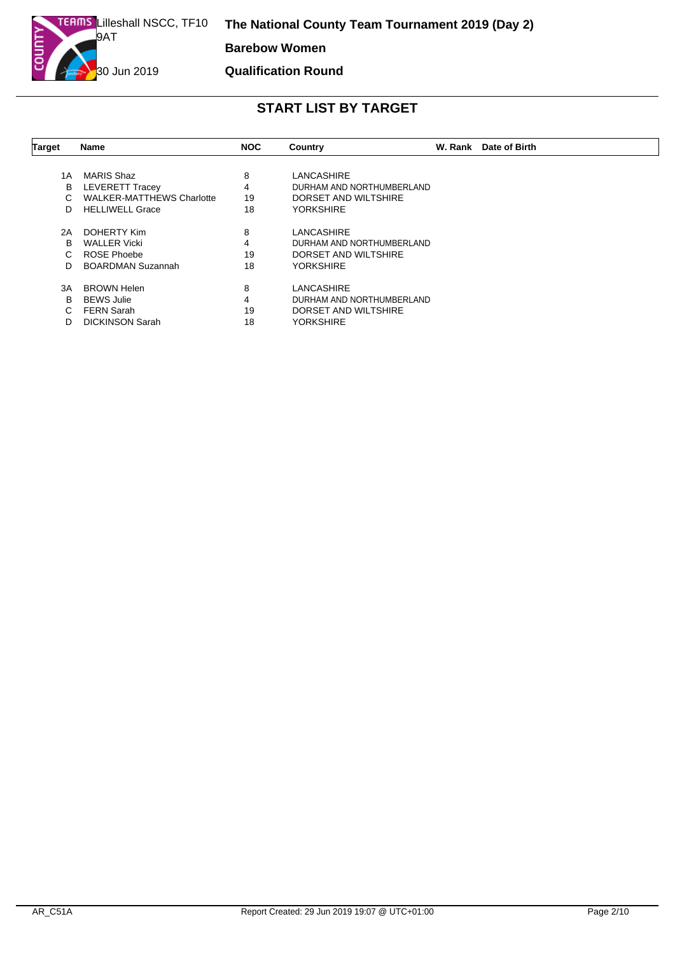**Barebow Women**

#### **Qualification Round**

| Target | <b>Name</b>                      | <b>NOC</b> | Country                   | W. Rank Date of Birth |
|--------|----------------------------------|------------|---------------------------|-----------------------|
|        |                                  |            |                           |                       |
| 1 A    | MARIS Shaz                       | 8          | LANCASHIRE                |                       |
| в      | <b>LEVERETT Tracey</b>           | 4          | DURHAM AND NORTHUMBERLAND |                       |
|        | <b>WALKER-MATTHEWS Charlotte</b> | 19         | DORSET AND WILTSHIRE      |                       |
| D      | <b>HELLIWELL Grace</b>           | 18         | <b>YORKSHIRE</b>          |                       |
| 2A     | DOHERTY Kim                      | 8          | LANCASHIRE                |                       |
| B      | <b>WALLER Vicki</b>              | 4          | DURHAM AND NORTHUMBERLAND |                       |
| C.     | ROSE Phoebe                      | 19         | DORSET AND WILTSHIRE      |                       |
| D.     | <b>BOARDMAN Suzannah</b>         | 18         | <b>YORKSHIRE</b>          |                       |
| 3A     | <b>BROWN Helen</b>               | 8          | <b>LANCASHIRE</b>         |                       |
| B      | <b>BEWS Julie</b>                | 4          | DURHAM AND NORTHUMBERLAND |                       |
| C.     | <b>FERN Sarah</b>                | 19         | DORSET AND WILTSHIRE      |                       |
| D      | <b>DICKINSON Sarah</b>           | 18         | <b>YORKSHIRE</b>          |                       |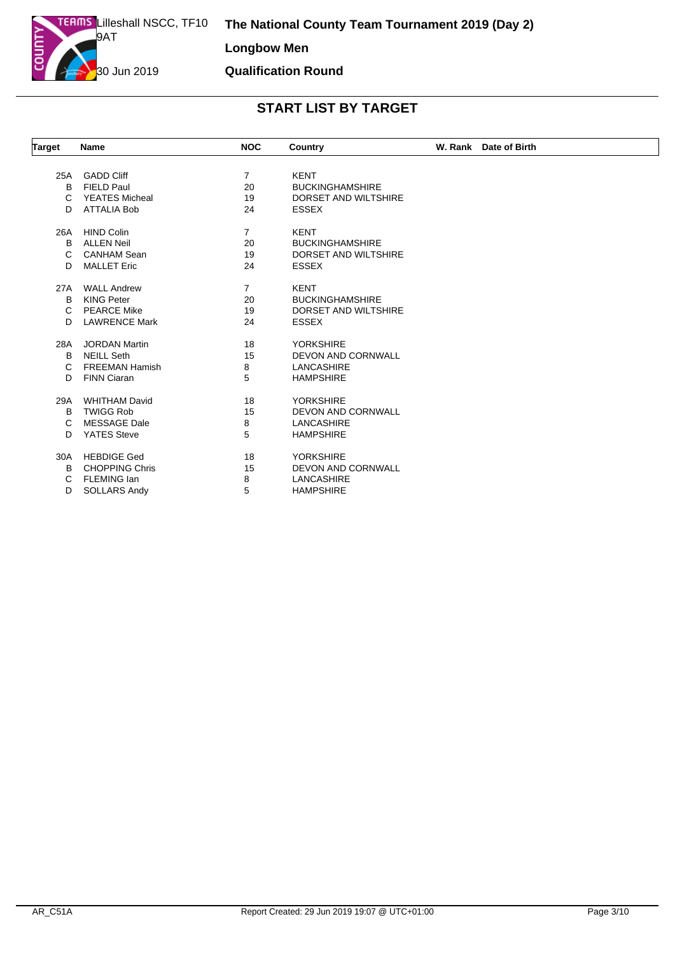| <b>Target</b> | <b>Name</b>           | <b>NOC</b>     | Country                   | W. Rank Date of Birth |
|---------------|-----------------------|----------------|---------------------------|-----------------------|
|               |                       |                |                           |                       |
| 25A           | <b>GADD Cliff</b>     | $\overline{7}$ | <b>KENT</b>               |                       |
| B             | FIELD Paul            | 20             | <b>BUCKINGHAMSHIRE</b>    |                       |
| C             | <b>YEATES Micheal</b> | 19             | DORSET AND WILTSHIRE      |                       |
| D             | <b>ATTALIA Bob</b>    | 24             | <b>ESSEX</b>              |                       |
| 26A           | <b>HIND Colin</b>     | $\overline{7}$ | <b>KENT</b>               |                       |
| B             | <b>ALLEN Neil</b>     | 20             | <b>BUCKINGHAMSHIRE</b>    |                       |
| C             | <b>CANHAM Sean</b>    | 19             | DORSET AND WILTSHIRE      |                       |
| D             | <b>MALLET Eric</b>    | 24             | <b>ESSEX</b>              |                       |
| 27A           | <b>WALL Andrew</b>    | 7              | <b>KENT</b>               |                       |
| B             | <b>KING Peter</b>     | 20             | <b>BUCKINGHAMSHIRE</b>    |                       |
| C             | <b>PEARCE Mike</b>    | 19             | DORSET AND WILTSHIRE      |                       |
| D.            | <b>LAWRENCE Mark</b>  | 24             | <b>ESSEX</b>              |                       |
| 28A           | <b>JORDAN Martin</b>  | 18             | <b>YORKSHIRE</b>          |                       |
| B             | <b>NEILL Seth</b>     | 15             | <b>DEVON AND CORNWALL</b> |                       |
| C             | <b>FREEMAN Hamish</b> | 8              | <b>LANCASHIRE</b>         |                       |
| D             | <b>FINN Ciaran</b>    | 5              | <b>HAMPSHIRE</b>          |                       |
| 29A           | <b>WHITHAM David</b>  | 18             | <b>YORKSHIRE</b>          |                       |
| B             | <b>TWIGG Rob</b>      | 15             | DEVON AND CORNWALL        |                       |
| C             | <b>MESSAGE Dale</b>   | 8              | <b>LANCASHIRE</b>         |                       |
| D             | <b>YATES Steve</b>    | 5              | <b>HAMPSHIRE</b>          |                       |
| 30A           | <b>HEBDIGE Ged</b>    | 18             | <b>YORKSHIRE</b>          |                       |
| B.            | <b>CHOPPING Chris</b> | 15             | DEVON AND CORNWALL        |                       |
| C             | <b>FLEMING Ian</b>    | 8              | <b>LANCASHIRE</b>         |                       |
| D             | <b>SOLLARS Andy</b>   | 5              | <b>HAMPSHIRE</b>          |                       |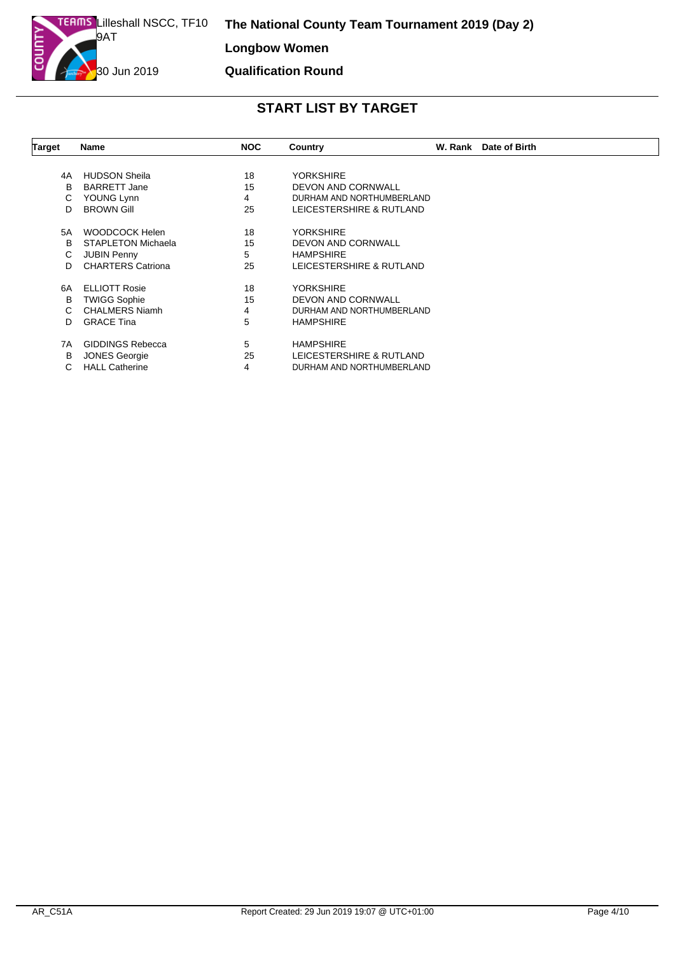| Target | <b>Name</b>               | <b>NOC</b> | Country                   | W. Rank | Date of Birth |
|--------|---------------------------|------------|---------------------------|---------|---------------|
|        |                           |            |                           |         |               |
| 4A     | <b>HUDSON Sheila</b>      | 18         | <b>YORKSHIRE</b>          |         |               |
| B      | <b>BARRETT Jane</b>       | 15         | DEVON AND CORNWALL        |         |               |
| C.     | YOUNG Lynn                | 4          | DURHAM AND NORTHUMBERLAND |         |               |
| D      | <b>BROWN Gill</b>         | 25         | LEICESTERSHIRE & RUTLAND  |         |               |
| 5A     | <b>WOODCOCK Helen</b>     | 18         | <b>YORKSHIRE</b>          |         |               |
| B      | <b>STAPLETON Michaela</b> | 15         | <b>DEVON AND CORNWALL</b> |         |               |
| C.     | <b>JUBIN Penny</b>        | 5          | <b>HAMPSHIRE</b>          |         |               |
| D      | <b>CHARTERS Catriona</b>  | 25         | LEICESTERSHIRE & RUTLAND  |         |               |
| 6A     | <b>ELLIOTT Rosie</b>      | 18         | <b>YORKSHIRE</b>          |         |               |
| в      | <b>TWIGG Sophie</b>       | 15         | <b>DEVON AND CORNWALL</b> |         |               |
|        | <b>CHALMERS Niamh</b>     | 4          | DURHAM AND NORTHUMBERLAND |         |               |
| D      | <b>GRACE Tina</b>         | 5          | <b>HAMPSHIRE</b>          |         |               |
| 7A     | <b>GIDDINGS Rebecca</b>   | 5          | <b>HAMPSHIRE</b>          |         |               |
| В      | <b>JONES Georgie</b>      | 25         | LEICESTERSHIRE & RUTLAND  |         |               |
|        | <b>HALL Catherine</b>     | 4          | DURHAM AND NORTHUMBERLAND |         |               |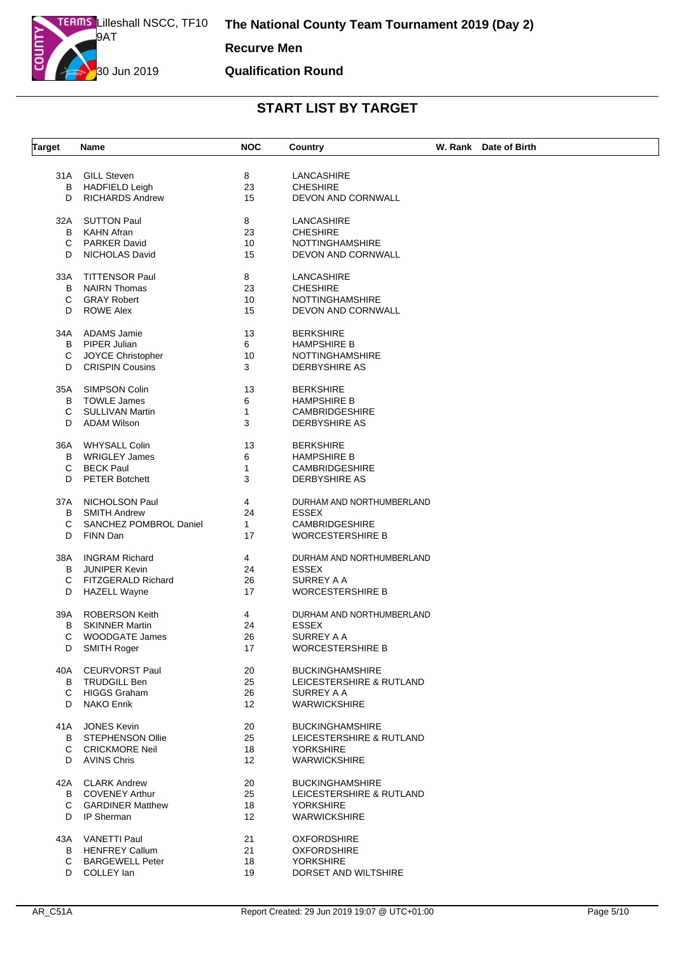#### **Qualification Round**

| <b>Target</b> | Name                    | <b>NOC</b>        | Country                   | W. Rank Date of Birth |
|---------------|-------------------------|-------------------|---------------------------|-----------------------|
|               | 31A GILL Steven         | 8                 | LANCASHIRE                |                       |
| B             | <b>HADFIELD Leigh</b>   | 23                | <b>CHESHIRE</b>           |                       |
| D             | <b>RICHARDS Andrew</b>  | 15                | DEVON AND CORNWALL        |                       |
|               |                         |                   |                           |                       |
| 32A           | <b>SUTTON Paul</b>      | 8                 | LANCASHIRE                |                       |
| B             | <b>KAHN Afran</b>       | 23                | <b>CHESHIRE</b>           |                       |
| С             | <b>PARKER David</b>     | 10                | <b>NOTTINGHAMSHIRE</b>    |                       |
| D             | <b>NICHOLAS David</b>   | 15                | DEVON AND CORNWALL        |                       |
| 33A           | <b>TITTENSOR Paul</b>   | 8                 | LANCASHIRE                |                       |
| B             | <b>NAIRN Thomas</b>     | 23                | <b>CHESHIRE</b>           |                       |
| C             | <b>GRAY Robert</b>      | 10                | <b>NOTTINGHAMSHIRE</b>    |                       |
| D             | <b>ROWE Alex</b>        | 15                | DEVON AND CORNWALL        |                       |
|               |                         |                   |                           |                       |
| 34A           | ADAMS Jamie             | 13                | <b>BERKSHIRE</b>          |                       |
| B             | PIPER Julian            | 6                 | <b>HAMPSHIRE B</b>        |                       |
| С             | JOYCE Christopher       | 10                | <b>NOTTINGHAMSHIRE</b>    |                       |
| D             | <b>CRISPIN Cousins</b>  | 3                 | <b>DERBYSHIRE AS</b>      |                       |
| 35A           | SIMPSON Colin           | 13                | <b>BERKSHIRE</b>          |                       |
| В             | <b>TOWLE James</b>      | 6                 | <b>HAMPSHIRE B</b>        |                       |
| С             | <b>SULLIVAN Martin</b>  | 1                 | <b>CAMBRIDGESHIRE</b>     |                       |
| D             | <b>ADAM Wilson</b>      | 3                 | <b>DERBYSHIRE AS</b>      |                       |
|               |                         |                   |                           |                       |
| 36A           | <b>WHYSALL Colin</b>    | 13                | <b>BERKSHIRE</b>          |                       |
| В             | <b>WRIGLEY James</b>    | 6                 | <b>HAMPSHIRE B</b>        |                       |
| C             | <b>BECK Paul</b>        | $\mathbf{1}$      | <b>CAMBRIDGESHIRE</b>     |                       |
| D             | <b>PETER Botchett</b>   | 3                 | <b>DERBYSHIRE AS</b>      |                       |
|               |                         |                   |                           |                       |
| 37A           | NICHOLSON Paul          | 4                 | DURHAM AND NORTHUMBERLAND |                       |
| B             | <b>SMITH Andrew</b>     | 24                | <b>ESSEX</b>              |                       |
| С             | SANCHEZ POMBROL Daniel  | $\mathbf{1}$      | <b>CAMBRIDGESHIRE</b>     |                       |
| D             | FINN Dan                | 17                | <b>WORCESTERSHIRE B</b>   |                       |
| 38A           | <b>INGRAM Richard</b>   | 4                 | DURHAM AND NORTHUMBERLAND |                       |
| B             | <b>JUNIPER Kevin</b>    | 24                | <b>ESSEX</b>              |                       |
| C             | FITZGERALD Richard      | 26                | SURREY A A                |                       |
| D             | <b>HAZELL Wayne</b>     | 17                | <b>WORCESTERSHIRE B</b>   |                       |
|               |                         |                   |                           |                       |
| 39A           | <b>ROBERSON Keith</b>   | 4                 | DURHAM AND NORTHUMBERLAND |                       |
| В             | <b>SKINNER Martin</b>   | 24                | <b>ESSEX</b>              |                       |
| С             | <b>WOODGATE James</b>   | 26                | SURREY A A                |                       |
| D             | SMITH Roger             | 17                | WORCESTERSHIRE B          |                       |
| 40A           | <b>CEURVORST Paul</b>   | 20                | <b>BUCKINGHAMSHIRE</b>    |                       |
| B             | TRUDGILL Ben            | 25                | LEICESTERSHIRE & RUTLAND  |                       |
| C.            | HIGGS Graham            | 26                | SURREY A A                |                       |
| D             | NAKO Enrik              | $12 \overline{ }$ | <b>WARWICKSHIRE</b>       |                       |
|               | <b>JONES Kevin</b>      |                   | <b>BUCKINGHAMSHIRE</b>    |                       |
| 41A           |                         | 20                |                           |                       |
| B             | STEPHENSON Ollie        | 25                | LEICESTERSHIRE & RUTLAND  |                       |
| C.            | <b>CRICKMORE Neil</b>   | 18                | <b>YORKSHIRE</b>          |                       |
| D             | AVINS Chris             | $12 \overline{ }$ | <b>WARWICKSHIRE</b>       |                       |
| 42A           | <b>CLARK Andrew</b>     | 20                | <b>BUCKINGHAMSHIRE</b>    |                       |
| B             | <b>COVENEY Arthur</b>   | 25                | LEICESTERSHIRE & RUTLAND  |                       |
| C             | <b>GARDINER Matthew</b> | 18                | <b>YORKSHIRE</b>          |                       |
| D             | IP Sherman              | $12 \overline{ }$ | <b>WARWICKSHIRE</b>       |                       |
| 43A           | VANETTI Paul            | 21                | <b>OXFORDSHIRE</b>        |                       |
| B             |                         | 21                |                           |                       |
|               | <b>HENFREY Callum</b>   |                   | <b>OXFORDSHIRE</b>        |                       |
| C             | <b>BARGEWELL Peter</b>  | 18                | <b>YORKSHIRE</b>          |                       |
| D             | COLLEY lan              | 19                | DORSET AND WILTSHIRE      |                       |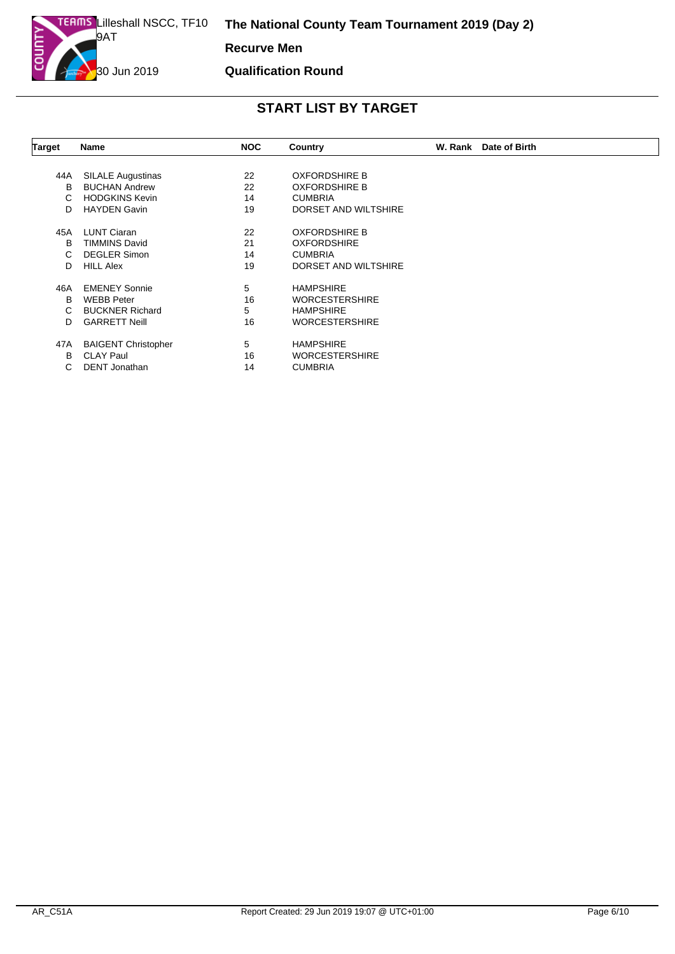#### **Qualification Round**

| Target | <b>Name</b>                | <b>NOC</b> | Country               | W. Rank Date of Birth |
|--------|----------------------------|------------|-----------------------|-----------------------|
|        |                            |            |                       |                       |
| 44A    | <b>SILALE Augustinas</b>   | 22         | <b>OXFORDSHIRE B</b>  |                       |
| B      | <b>BUCHAN Andrew</b>       | 22         | <b>OXFORDSHIRE B</b>  |                       |
| C.     | <b>HODGKINS Kevin</b>      | 14         | <b>CUMBRIA</b>        |                       |
| D      | <b>HAYDEN Gavin</b>        | 19         | DORSET AND WILTSHIRE  |                       |
| 45A    | <b>LUNT Ciaran</b>         | 22         | <b>OXFORDSHIRE B</b>  |                       |
| в      | <b>TIMMINS David</b>       | 21         | <b>OXFORDSHIRE</b>    |                       |
| C.     | <b>DEGLER Simon</b>        | 14         | <b>CUMBRIA</b>        |                       |
| D      | <b>HILL Alex</b>           | 19         | DORSET AND WILTSHIRE  |                       |
| 46A    | <b>EMENEY Sonnie</b>       | 5          | <b>HAMPSHIRE</b>      |                       |
| B      | <b>WEBB Peter</b>          | 16         | <b>WORCESTERSHIRE</b> |                       |
| C.     | <b>BUCKNER Richard</b>     | 5          | <b>HAMPSHIRE</b>      |                       |
| D      | <b>GARRETT Neill</b>       | 16         | <b>WORCESTERSHIRE</b> |                       |
| 47A    | <b>BAIGENT Christopher</b> | 5          | <b>HAMPSHIRE</b>      |                       |
| В      | <b>CLAY Paul</b>           | 16         | <b>WORCESTERSHIRE</b> |                       |
| C.     | <b>DENT</b> Jonathan       | 14         | <b>CUMBRIA</b>        |                       |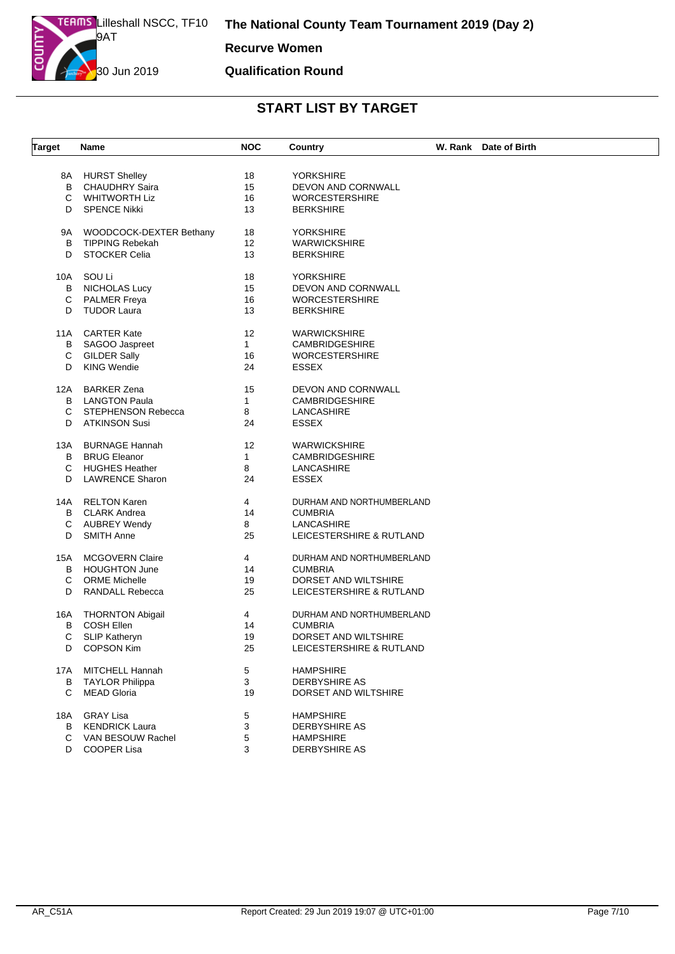**Recurve Women**

#### **Qualification Round**

| <b>Target</b> | Name                    | <b>NOC</b>   | Country                   | W. Rank Date of Birth |
|---------------|-------------------------|--------------|---------------------------|-----------------------|
|               |                         |              |                           |                       |
| 8A            | <b>HURST Shelley</b>    | 18           | YORKSHIRE                 |                       |
| B             | CHAUDHRY Saira          | 15           | DEVON AND CORNWALL        |                       |
| C             | <b>WHITWORTH Liz</b>    | 16           | <b>WORCESTERSHIRE</b>     |                       |
|               |                         |              |                           |                       |
| D             | <b>SPENCE Nikki</b>     | 13           | <b>BERKSHIRE</b>          |                       |
| 9A            | WOODCOCK-DEXTER Bethany | 18           | <b>YORKSHIRE</b>          |                       |
| B             | <b>TIPPING Rebekah</b>  | 12           | <b>WARWICKSHIRE</b>       |                       |
| D             | <b>STOCKER Celia</b>    | 13           | <b>BERKSHIRE</b>          |                       |
|               |                         |              |                           |                       |
| 10A           | SOU Li                  | 18           | <b>YORKSHIRE</b>          |                       |
| B             | <b>NICHOLAS Lucy</b>    | 15           | DEVON AND CORNWALL        |                       |
| С             | <b>PALMER Freya</b>     | 16           | <b>WORCESTERSHIRE</b>     |                       |
| D             | <b>TUDOR Laura</b>      | 13           | <b>BERKSHIRE</b>          |                       |
|               |                         |              |                           |                       |
| 11A           | CARTER Kate             | 12           | <b>WARWICKSHIRE</b>       |                       |
| В             | SAGOO Jaspreet          | $\mathbf{1}$ | <b>CAMBRIDGESHIRE</b>     |                       |
| С             | <b>GILDER Sally</b>     | 16           | <b>WORCESTERSHIRE</b>     |                       |
| D             | <b>KING Wendie</b>      | 24           | <b>ESSEX</b>              |                       |
|               |                         |              |                           |                       |
| 12A           | <b>BARKER Zena</b>      | 15           | <b>DEVON AND CORNWALL</b> |                       |
| B             | <b>LANGTON Paula</b>    | $\mathbf{1}$ | <b>CAMBRIDGESHIRE</b>     |                       |
| C             | STEPHENSON Rebecca      | 8            | LANCASHIRE                |                       |
| D             | <b>ATKINSON Susi</b>    | 24           | <b>ESSEX</b>              |                       |
| 13A           | <b>BURNAGE Hannah</b>   | 12           | <b>WARWICKSHIRE</b>       |                       |
| В             | <b>BRUG Eleanor</b>     | $\mathbf{1}$ | <b>CAMBRIDGESHIRE</b>     |                       |
| С             | <b>HUGHES Heather</b>   | 8            | LANCASHIRE                |                       |
| D             | <b>LAWRENCE Sharon</b>  | 24           | <b>ESSEX</b>              |                       |
|               |                         |              |                           |                       |
| 14A           | <b>RELTON Karen</b>     | 4            | DURHAM AND NORTHUMBERLAND |                       |
| В             | CLARK Andrea            | 14           | <b>CUMBRIA</b>            |                       |
| C             | <b>AUBREY Wendy</b>     | 8            | LANCASHIRE                |                       |
| D             | <b>SMITH Anne</b>       | 25           | LEICESTERSHIRE & RUTLAND  |                       |
|               |                         |              |                           |                       |
| 15A           | <b>MCGOVERN Claire</b>  | 4            | DURHAM AND NORTHUMBERLAND |                       |
| В             | <b>HOUGHTON June</b>    | 14           | <b>CUMBRIA</b>            |                       |
| C             | <b>ORME Michelle</b>    | 19           | DORSET AND WILTSHIRE      |                       |
| D             | RANDALL Rebecca         | 25           | LEICESTERSHIRE & RUTLAND  |                       |
|               |                         |              |                           |                       |
| 16A           | <b>THORNTON Abigail</b> | 4            | DURHAM AND NORTHUMBERLAND |                       |
| в             | <b>COSH Ellen</b>       | 14           | <b>CUMBRIA</b>            |                       |
| C             | <b>SLIP Katheryn</b>    | 19           | DORSET AND WILTSHIRE      |                       |
| D             | <b>COPSON Kim</b>       | 25           | LEICESTERSHIRE & RUTLAND  |                       |
| 17A           | MITCHELL Hannah         | 5            | <b>HAMPSHIRE</b>          |                       |
| в             | <b>TAYLOR Philippa</b>  | 3            | <b>DERBYSHIRE AS</b>      |                       |
| C             | <b>MEAD Gloria</b>      | 19           | DORSET AND WILTSHIRE      |                       |
|               |                         |              |                           |                       |
| 18A           | <b>GRAY Lisa</b>        | 5            | <b>HAMPSHIRE</b>          |                       |
| В             | <b>KENDRICK Laura</b>   | 3            | DERBYSHIRE AS             |                       |
| С             | VAN BESOUW Rachel       | 5            | <b>HAMPSHIRE</b>          |                       |
|               | D COOPER Lisa           | 3            | <b>DERBYSHIRE AS</b>      |                       |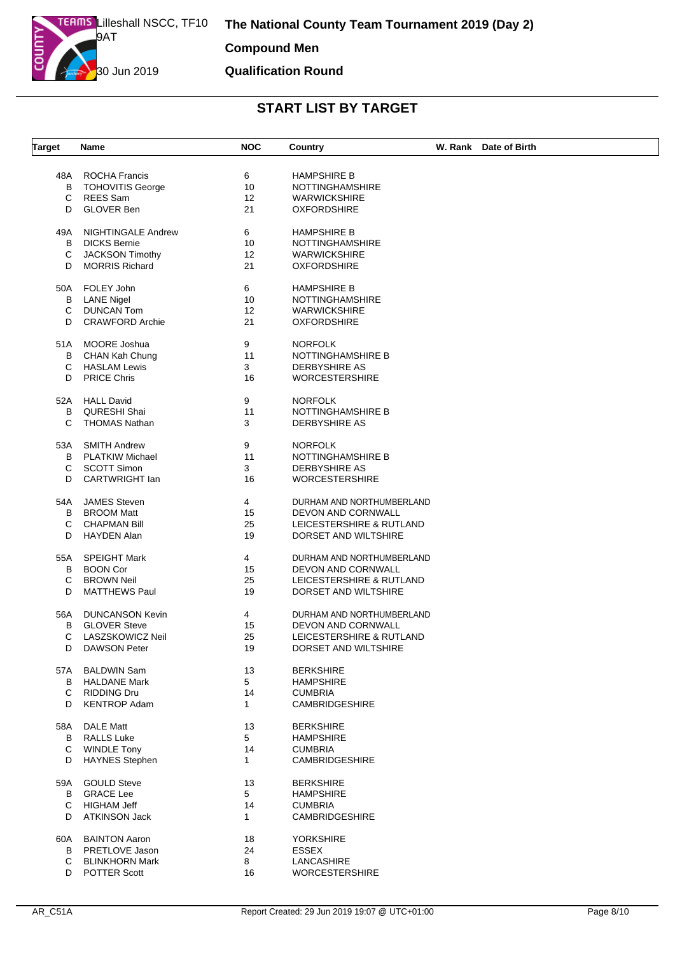#### **Qualification Round**

| <b>Target</b> | Name                      | <b>NOC</b>     | Country                   | W. Rank Date of Birth |
|---------------|---------------------------|----------------|---------------------------|-----------------------|
|               |                           |                |                           |                       |
| 48A           | <b>ROCHA Francis</b>      | 6              | <b>HAMPSHIRE B</b>        |                       |
| B             | <b>TOHOVITIS George</b>   | 10             | <b>NOTTINGHAMSHIRE</b>    |                       |
| С             | <b>REES</b> Sam           | 12             | <b>WARWICKSHIRE</b>       |                       |
| D             | <b>GLOVER Ben</b>         | 21             | <b>OXFORDSHIRE</b>        |                       |
| 49A           | <b>NIGHTINGALE Andrew</b> | 6              | <b>HAMPSHIRE B</b>        |                       |
| B             | <b>DICKS Bernie</b>       | 10             | <b>NOTTINGHAMSHIRE</b>    |                       |
| C             | <b>JACKSON Timothy</b>    | 12             | <b>WARWICKSHIRE</b>       |                       |
| D             | <b>MORRIS Richard</b>     | 21             | <b>OXFORDSHIRE</b>        |                       |
| 50A           | FOLEY John                | 6              | <b>HAMPSHIRE B</b>        |                       |
| в             | <b>LANE Nigel</b>         | 10             | <b>NOTTINGHAMSHIRE</b>    |                       |
| C             | <b>DUNCAN Tom</b>         | 12             | <b>WARWICKSHIRE</b>       |                       |
| D             | <b>CRAWFORD Archie</b>    | 21             | <b>OXFORDSHIRE</b>        |                       |
| 51A           | MOORE Joshua              | 9              | <b>NORFOLK</b>            |                       |
| В             | CHAN Kah Chung            | 11             | NOTTINGHAMSHIRE B         |                       |
| С             | <b>HASLAM Lewis</b>       | 3              | <b>DERBYSHIRE AS</b>      |                       |
| D             | <b>PRICE Chris</b>        | 16             | <b>WORCESTERSHIRE</b>     |                       |
|               |                           |                |                           |                       |
| 52A           | <b>HALL David</b>         | 9              | <b>NORFOLK</b>            |                       |
| B             | QURESHI Shai              | 11             | NOTTINGHAMSHIRE B         |                       |
| C             | <b>THOMAS Nathan</b>      | 3              | <b>DERBYSHIRE AS</b>      |                       |
| 53A           | <b>SMITH Andrew</b>       | 9              | <b>NORFOLK</b>            |                       |
| B             | <b>PLATKIW Michael</b>    | 11             | NOTTINGHAMSHIRE B         |                       |
| С             | <b>SCOTT Simon</b>        | 3              | <b>DERBYSHIRE AS</b>      |                       |
| D             | CARTWRIGHT lan            | 16             | <b>WORCESTERSHIRE</b>     |                       |
|               |                           |                |                           |                       |
| 54A           | <b>JAMES Steven</b>       | $\overline{4}$ | DURHAM AND NORTHUMBERLAND |                       |
| B             | <b>BROOM Matt</b>         | 15             | DEVON AND CORNWALL        |                       |
| С             | <b>CHAPMAN Bill</b>       | 25             | LEICESTERSHIRE & RUTLAND  |                       |
| D             | <b>HAYDEN Alan</b>        | 19             | DORSET AND WILTSHIRE      |                       |
| 55A           | <b>SPEIGHT Mark</b>       | 4              | DURHAM AND NORTHUMBERLAND |                       |
| B             | <b>BOON Cor</b>           | 15             | DEVON AND CORNWALL        |                       |
| С             | <b>BROWN Neil</b>         | 25             | LEICESTERSHIRE & RUTLAND  |                       |
| D             | <b>MATTHEWS Paul</b>      | 19             | DORSET AND WILTSHIRE      |                       |
|               |                           |                |                           |                       |
| 56A           | <b>DUNCANSON Kevin</b>    | 4              | DURHAM AND NORTHUMBERLAND |                       |
| В             | <b>GLOVER Steve</b>       | 15             | DEVON AND CORNWALL        |                       |
| С             | LASZSKOWICZ Neil          | 25             | LEICESTERSHIRE & RUTLAND  |                       |
| D             | <b>DAWSON Peter</b>       | 19             | DORSET AND WILTSHIRE      |                       |
| 57A           | <b>BALDWIN Sam</b>        | 13             | <b>BERKSHIRE</b>          |                       |
| B             | <b>HALDANE Mark</b>       | 5              | <b>HAMPSHIRE</b>          |                       |
| C             | <b>RIDDING Dru</b>        | 14             | <b>CUMBRIA</b>            |                       |
| D             | <b>KENTROP Adam</b>       | $\mathbf{1}$   | <b>CAMBRIDGESHIRE</b>     |                       |
|               |                           |                |                           |                       |
| 58A           | DALE Matt                 | 13             | <b>BERKSHIRE</b>          |                       |
| В             | <b>RALLS Luke</b>         | 5              | <b>HAMPSHIRE</b>          |                       |
| C             | <b>WINDLE Tony</b>        | 14             | <b>CUMBRIA</b>            |                       |
| D             | <b>HAYNES Stephen</b>     | $\mathbf{1}$   | CAMBRIDGESHIRE            |                       |
| 59A           | <b>GOULD Steve</b>        | 13             | <b>BERKSHIRE</b>          |                       |
| В             | <b>GRACE Lee</b>          | 5              | <b>HAMPSHIRE</b>          |                       |
| C             | HIGHAM Jeff               | 14             | <b>CUMBRIA</b>            |                       |
| D             | <b>ATKINSON Jack</b>      | 1              | <b>CAMBRIDGESHIRE</b>     |                       |
| 60A           | <b>BAINTON Aaron</b>      | 18             | <b>YORKSHIRE</b>          |                       |
| B             | PRETLOVE Jason            | 24             | <b>ESSEX</b>              |                       |
| C             | <b>BLINKHORN Mark</b>     | 8              | LANCASHIRE                |                       |
|               | D POTTER Scott            | 16             | <b>WORCESTERSHIRE</b>     |                       |
|               |                           |                |                           |                       |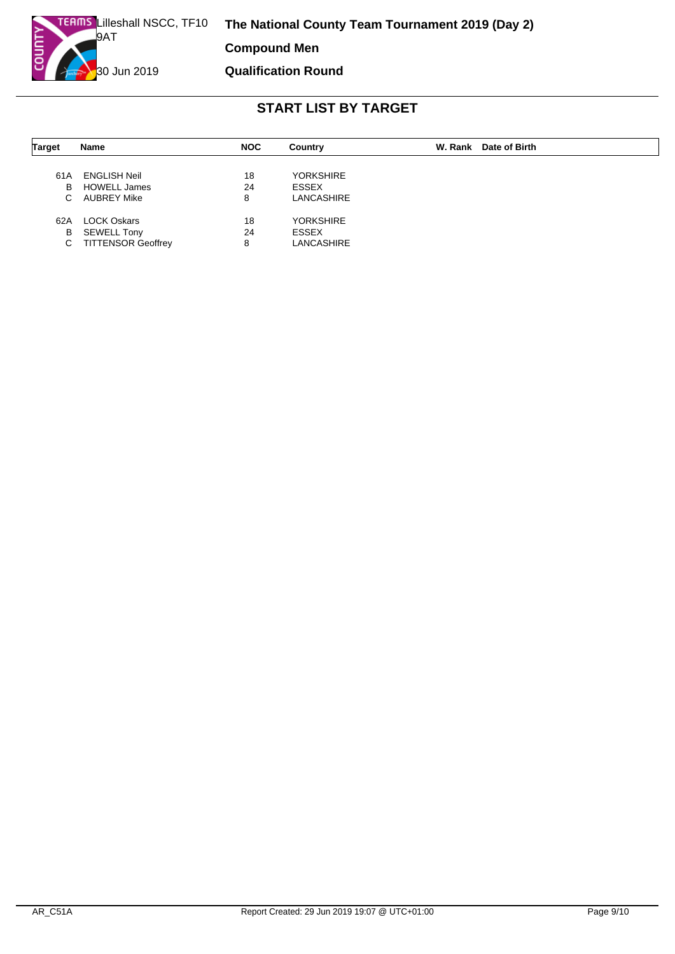**Compound Men**

**Qualification Round**

| <b>Target</b> | Name                      | <b>NOC</b> | Country           | W. Rank Date of Birth |
|---------------|---------------------------|------------|-------------------|-----------------------|
|               |                           |            |                   |                       |
| 61A           | <b>ENGLISH Neil</b>       | 18         | <b>YORKSHIRE</b>  |                       |
| В             | <b>HOWELL James</b>       | 24         | ESSEX             |                       |
| C.            | <b>AUBREY Mike</b>        | 8          | <b>LANCASHIRE</b> |                       |
| 62A           | <b>LOCK Oskars</b>        | 18         | <b>YORKSHIRE</b>  |                       |
| В             | <b>SEWELL Tony</b>        | 24         | <b>ESSEX</b>      |                       |
| С             | <b>TITTENSOR Geoffrey</b> | 8          | LANCASHIRE        |                       |